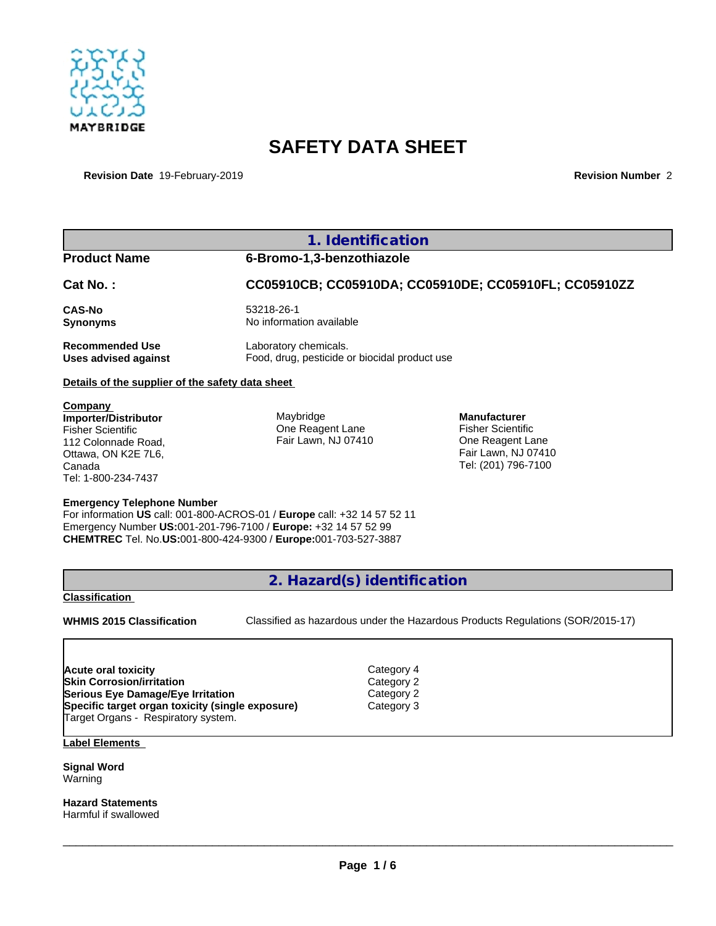

# **SAFETY DATA SHEET**

**Revision Date** 19-February-2019 **Revision Number** 2

|                                                         | 1. Identification                                     |                                          |  |
|---------------------------------------------------------|-------------------------------------------------------|------------------------------------------|--|
| <b>Product Name</b>                                     | 6-Bromo-1,3-benzothiazole                             |                                          |  |
| Cat No.:                                                | CC05910CB; CC05910DA; CC05910DE; CC05910FL; CC05910ZZ |                                          |  |
| <b>CAS-No</b>                                           | 53218-26-1                                            |                                          |  |
| <b>Synonyms</b>                                         | No information available                              |                                          |  |
| <b>Recommended Use</b>                                  | Laboratory chemicals.                                 |                                          |  |
| <b>Uses advised against</b>                             | Food, drug, pesticide or biocidal product use         |                                          |  |
| Details of the supplier of the safety data sheet        |                                                       |                                          |  |
| Company                                                 |                                                       |                                          |  |
| <b>Importer/Distributor</b><br><b>Fisher Scientific</b> | Maybridge<br>One Reagent Lane                         | <b>Manufacturer</b><br>Fisher Scientific |  |
| 112 Colonnade Road,                                     | Fair Lawn, NJ 07410                                   | One Reagent Lane                         |  |
| Ottawa, ON K2E 7L6,                                     |                                                       | Fair Lawn, NJ 07410                      |  |

## **Emergency Telephone Number**

For information **US** call: 001-800-ACROS-01 / **Europe** call: +32 14 57 52 11 Emergency Number **US:**001-201-796-7100 / **Europe:** +32 14 57 52 99 **CHEMTREC** Tel. No.**US:**001-800-424-9300 / **Europe:**001-703-527-3887

**2. Hazard(s) identification**

**Category 4 Category 2 Serious Eye Damage/Eye Irritation** Category 2 **Specific target organ toxicity (single exposure)** Category 3

# **Classification**

Canada

Tel: 1-800-234-7437

**WHMIS 2015 Classification** Classified as hazardous under the Hazardous Products Regulations (SOR/2015-17)

 $\_$  ,  $\_$  ,  $\_$  ,  $\_$  ,  $\_$  ,  $\_$  ,  $\_$  ,  $\_$  ,  $\_$  ,  $\_$  ,  $\_$  ,  $\_$  ,  $\_$  ,  $\_$  ,  $\_$  ,  $\_$  ,  $\_$  ,  $\_$  ,  $\_$  ,  $\_$  ,  $\_$  ,  $\_$  ,  $\_$  ,  $\_$  ,  $\_$  ,  $\_$  ,  $\_$  ,  $\_$  ,  $\_$  ,  $\_$  ,  $\_$  ,  $\_$  ,  $\_$  ,  $\_$  ,  $\_$  ,  $\_$  ,  $\_$  ,

Tel: (201) 796-7100

| Acute oral toxicity                              |  |
|--------------------------------------------------|--|
| <b>Skin Corrosion/irritation</b>                 |  |
| Serious Eye Damage/Eye Irritation                |  |
| Specific target organ toxicity (single exposure) |  |
| Target Organs - Respiratory system.              |  |

**Label Elements**

**Signal Word** Warning

**Hazard Statements** Harmful if swallowed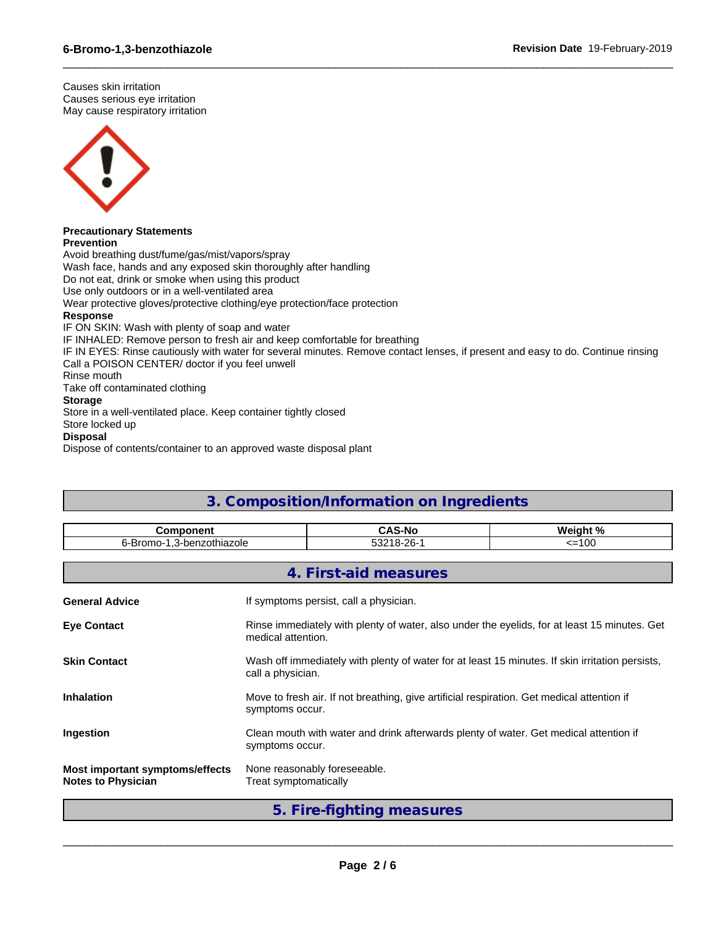Causes skin irritation Causes serious eye irritation May cause respiratory irritation



#### **Precautionary Statements Prevention**

Avoid breathing dust/fume/gas/mist/vapors/spray Wash face, hands and any exposed skin thoroughly after handling Do not eat, drink or smoke when using this product Use only outdoors or in a well-ventilated area Wear protective gloves/protective clothing/eye protection/face protection **Response** IF ON SKIN: Wash with plenty of soap and water IF INHALED: Remove person to fresh air and keep comfortable for breathing IF IN EYES: Rinse cautiously with water for several minutes. Remove contact lenses, if present and easy to do. Continue rinsing Call a POISON CENTER/ doctor if you feel unwell Rinse mouth Take off contaminated clothing

 $\_$  ,  $\_$  ,  $\_$  ,  $\_$  ,  $\_$  ,  $\_$  ,  $\_$  ,  $\_$  ,  $\_$  ,  $\_$  ,  $\_$  ,  $\_$  ,  $\_$  ,  $\_$  ,  $\_$  ,  $\_$  ,  $\_$  ,  $\_$  ,  $\_$  ,  $\_$  ,  $\_$  ,  $\_$  ,  $\_$  ,  $\_$  ,  $\_$  ,  $\_$  ,  $\_$  ,  $\_$  ,  $\_$  ,  $\_$  ,  $\_$  ,  $\_$  ,  $\_$  ,  $\_$  ,  $\_$  ,  $\_$  ,  $\_$  ,

# **Storage**

Store in a well-ventilated place. Keep container tightly closed

Store locked up

# **Disposal**

Dispose of contents/container to an approved waste disposal plant

| 3. Composition/Information on Ingredients                    |                                                                                                                      |                              |          |  |
|--------------------------------------------------------------|----------------------------------------------------------------------------------------------------------------------|------------------------------|----------|--|
| <b>Component</b>                                             |                                                                                                                      | <b>CAS-No</b>                | Weight % |  |
| 6-Bromo-1,3-benzothiazole                                    |                                                                                                                      | 53218-26-1                   | $=100$   |  |
|                                                              |                                                                                                                      | 4. First-aid measures        |          |  |
| <b>General Advice</b>                                        | If symptoms persist, call a physician.                                                                               |                              |          |  |
| <b>Eye Contact</b>                                           | Rinse immediately with plenty of water, also under the eyelids, for at least 15 minutes. Get<br>medical attention.   |                              |          |  |
| <b>Skin Contact</b>                                          | Wash off immediately with plenty of water for at least 15 minutes. If skin irritation persists,<br>call a physician. |                              |          |  |
| <b>Inhalation</b>                                            | Move to fresh air. If not breathing, give artificial respiration. Get medical attention if<br>symptoms occur.        |                              |          |  |
| Ingestion                                                    | Clean mouth with water and drink afterwards plenty of water. Get medical attention if<br>symptoms occur.             |                              |          |  |
| Most important symptoms/effects<br><b>Notes to Physician</b> | Treat symptomatically                                                                                                | None reasonably foreseeable. |          |  |

**5. Fire-fighting measures**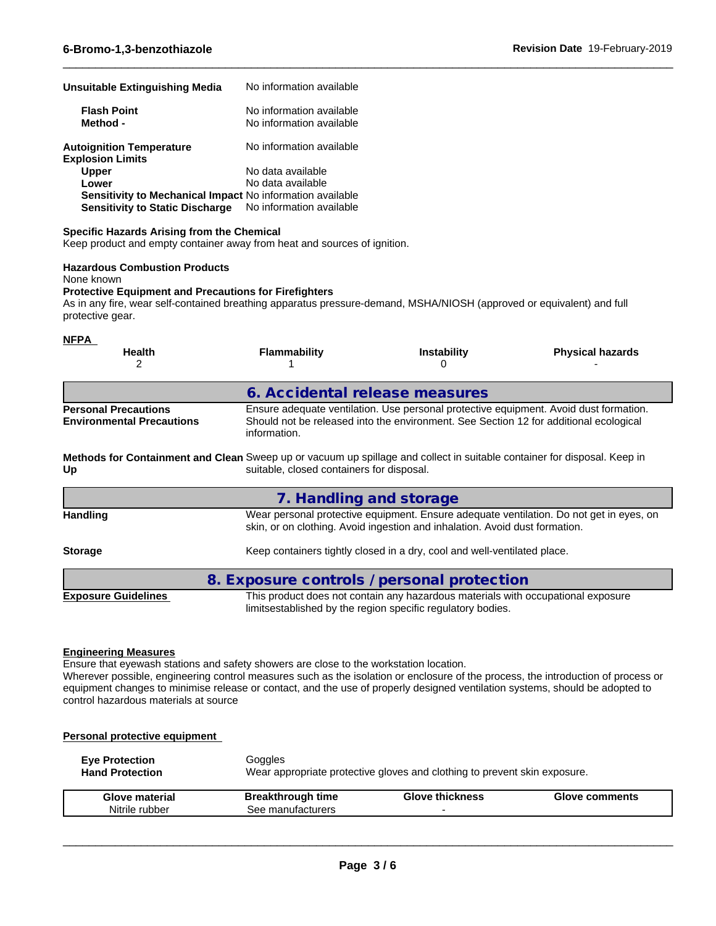| Unsuitable Extinguishing Media                                   | No information available                             |  |
|------------------------------------------------------------------|------------------------------------------------------|--|
| <b>Flash Point</b><br>Method -                                   | No information available<br>No information available |  |
| <b>Autoignition Temperature</b><br><b>Explosion Limits</b>       | No information available                             |  |
| <b>Upper</b>                                                     | No data available                                    |  |
| Lower                                                            | No data available                                    |  |
| <b>Sensitivity to Mechanical Impact No information available</b> |                                                      |  |
| <b>Sensitivity to Static Discharge</b>                           | No information available                             |  |

## **Specific Hazards Arising from the Chemical**

Keep product and empty container away from heat and sources of ignition.

# **Hazardous Combustion Products**

None known

#### **Protective Equipment and Precautions for Firefighters**

As in any fire, wear self-contained breathing apparatus pressure-demand, MSHA/NIOSH (approved or equivalent) and full protective gear.

 $\_$  ,  $\_$  ,  $\_$  ,  $\_$  ,  $\_$  ,  $\_$  ,  $\_$  ,  $\_$  ,  $\_$  ,  $\_$  ,  $\_$  ,  $\_$  ,  $\_$  ,  $\_$  ,  $\_$  ,  $\_$  ,  $\_$  ,  $\_$  ,  $\_$  ,  $\_$  ,  $\_$  ,  $\_$  ,  $\_$  ,  $\_$  ,  $\_$  ,  $\_$  ,  $\_$  ,  $\_$  ,  $\_$  ,  $\_$  ,  $\_$  ,  $\_$  ,  $\_$  ,  $\_$  ,  $\_$  ,  $\_$  ,  $\_$  ,

| <b>NFPA</b><br>Health<br>2                                      | <b>Flammability</b>                                                                                                                                                   | <b>Instability</b><br>$\Omega$                                                                                                                  | <b>Physical hazards</b>                                                                                                                                                        |
|-----------------------------------------------------------------|-----------------------------------------------------------------------------------------------------------------------------------------------------------------------|-------------------------------------------------------------------------------------------------------------------------------------------------|--------------------------------------------------------------------------------------------------------------------------------------------------------------------------------|
|                                                                 | 6. Accidental release measures                                                                                                                                        |                                                                                                                                                 |                                                                                                                                                                                |
| <b>Personal Precautions</b><br><b>Environmental Precautions</b> | information.                                                                                                                                                          |                                                                                                                                                 | Ensure adequate ventilation. Use personal protective equipment. Avoid dust formation.<br>Should not be released into the environment. See Section 12 for additional ecological |
| Up                                                              | Methods for Containment and Clean Sweep up or vacuum up spillage and collect in suitable container for disposal. Keep in<br>suitable, closed containers for disposal. |                                                                                                                                                 |                                                                                                                                                                                |
|                                                                 | 7. Handling and storage                                                                                                                                               |                                                                                                                                                 |                                                                                                                                                                                |
| <b>Handling</b>                                                 |                                                                                                                                                                       | skin, or on clothing. Avoid ingestion and inhalation. Avoid dust formation.                                                                     | Wear personal protective equipment. Ensure adequate ventilation. Do not get in eyes, on                                                                                        |
| <b>Storage</b>                                                  |                                                                                                                                                                       | Keep containers tightly closed in a dry, cool and well-ventilated place.                                                                        |                                                                                                                                                                                |
|                                                                 | 8. Exposure controls / personal protection                                                                                                                            |                                                                                                                                                 |                                                                                                                                                                                |
| <b>Exposure Guidelines</b>                                      |                                                                                                                                                                       | This product does not contain any hazardous materials with occupational exposure<br>limitsestablished by the region specific regulatory bodies. |                                                                                                                                                                                |

#### **Engineering Measures**

Ensure that eyewash stations and safety showers are close to the workstation location. Wherever possible, engineering control measures such as the isolation or enclosure of the process, the introduction of process or equipment changes to minimise release or contact, and the use of properly designed ventilation systems, should be adopted to control hazardous materials at source

#### **Personal protective equipment**

| <b>Eve Protection</b><br><b>Hand Protection</b> | Goggles<br>Wear appropriate protective gloves and clothing to prevent skin exposure. |                        |                       |  |
|-------------------------------------------------|--------------------------------------------------------------------------------------|------------------------|-----------------------|--|
| <b>Glove material</b>                           | <b>Breakthrough time</b>                                                             | <b>Glove thickness</b> | <b>Glove comments</b> |  |
| Nitrile rubber                                  | See manufacturers                                                                    |                        |                       |  |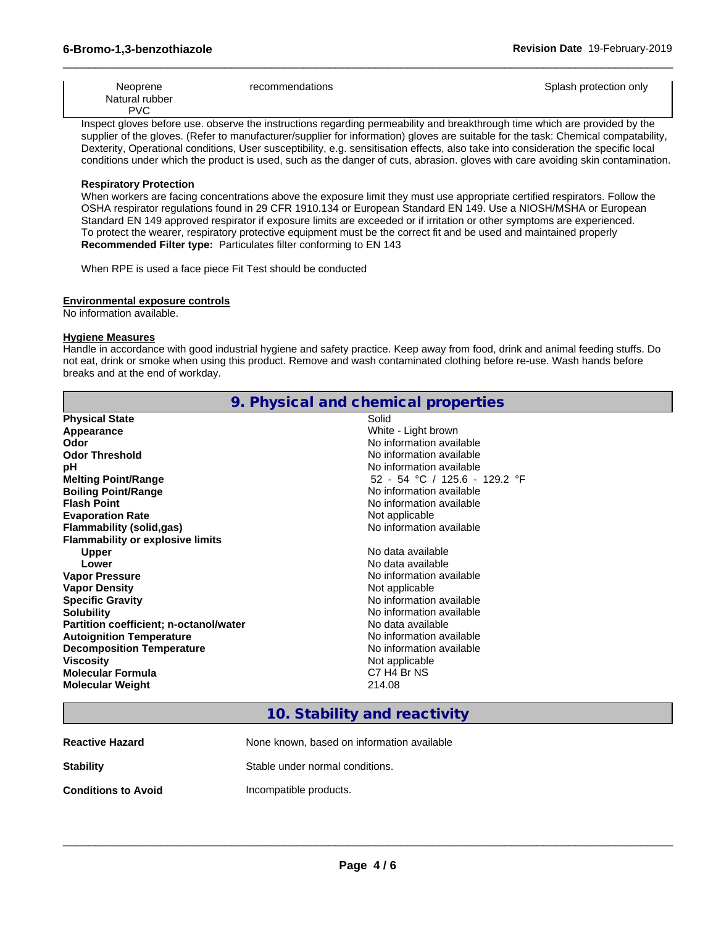| Neoprene       | recommendations | Splash protection only |
|----------------|-----------------|------------------------|
| Natural rubber |                 |                        |
| <b>PVC</b>     |                 |                        |

 $\_$  ,  $\_$  ,  $\_$  ,  $\_$  ,  $\_$  ,  $\_$  ,  $\_$  ,  $\_$  ,  $\_$  ,  $\_$  ,  $\_$  ,  $\_$  ,  $\_$  ,  $\_$  ,  $\_$  ,  $\_$  ,  $\_$  ,  $\_$  ,  $\_$  ,  $\_$  ,  $\_$  ,  $\_$  ,  $\_$  ,  $\_$  ,  $\_$  ,  $\_$  ,  $\_$  ,  $\_$  ,  $\_$  ,  $\_$  ,  $\_$  ,  $\_$  ,  $\_$  ,  $\_$  ,  $\_$  ,  $\_$  ,  $\_$  ,

Inspect gloves before use. observe the instructions regarding permeability and breakthrough time which are provided by the supplier of the gloves. (Refer to manufacturer/supplier for information) gloves are suitable for the task: Chemical compatability, Dexterity, Operational conditions, User susceptibility, e.g. sensitisation effects, also take into consideration the specific local conditions under which the product is used, such as the danger of cuts, abrasion. gloves with care avoiding skin contamination.

#### **Respiratory Protection**

When workers are facing concentrations above the exposure limit they must use appropriate certified respirators. Follow the OSHA respirator regulations found in 29 CFR 1910.134 or European Standard EN 149. Use a NIOSH/MSHA or European Standard EN 149 approved respirator if exposure limits are exceeded or if irritation or other symptoms are experienced. To protect the wearer, respiratory protective equipment must be the correct fit and be used and maintained properly **Recommended Filter type:** Particulates filter conforming to EN 143

When RPE is used a face piece Fit Test should be conducted

#### **Environmental exposure controls**

No information available.

#### **Hygiene Measures**

Handle in accordance with good industrial hygiene and safety practice. Keep away from food, drink and animal feeding stuffs. Do not eat, drink or smoke when using this product. Remove and wash contaminated clothing before re-use. Wash hands before breaks and at the end of workday.

|                                         | 9. Physical and chemical properties |
|-----------------------------------------|-------------------------------------|
| <b>Physical State</b>                   | Solid                               |
| Appearance                              | White - Light brown                 |
| Odor                                    | No information available            |
| <b>Odor Threshold</b>                   | No information available            |
| рH                                      | No information available            |
| <b>Melting Point/Range</b>              | 52 - 54 °C / 125.6 - 129.2 °F       |
| <b>Boiling Point/Range</b>              | No information available            |
| <b>Flash Point</b>                      | No information available            |
| <b>Evaporation Rate</b>                 | Not applicable                      |
| <b>Flammability (solid,gas)</b>         | No information available            |
| <b>Flammability or explosive limits</b> |                                     |
| <b>Upper</b>                            | No data available                   |
| Lower                                   | No data available                   |
| <b>Vapor Pressure</b>                   | No information available            |
| <b>Vapor Density</b>                    | Not applicable                      |
| <b>Specific Gravity</b>                 | No information available            |
| <b>Solubility</b>                       | No information available            |
| Partition coefficient; n-octanol/water  | No data available                   |
| <b>Autoignition Temperature</b>         | No information available            |
| <b>Decomposition Temperature</b>        | No information available            |
| <b>Viscosity</b>                        | Not applicable                      |
| <b>Molecular Formula</b>                | C7 H4 Br NS                         |
| <b>Molecular Weight</b>                 | 214.08                              |
|                                         |                                     |

# **10. Stability and reactivity**

| <b>Reactive Hazard</b>     | None known, based on information available |
|----------------------------|--------------------------------------------|
| <b>Stability</b>           | Stable under normal conditions.            |
| <b>Conditions to Avoid</b> | Incompatible products.                     |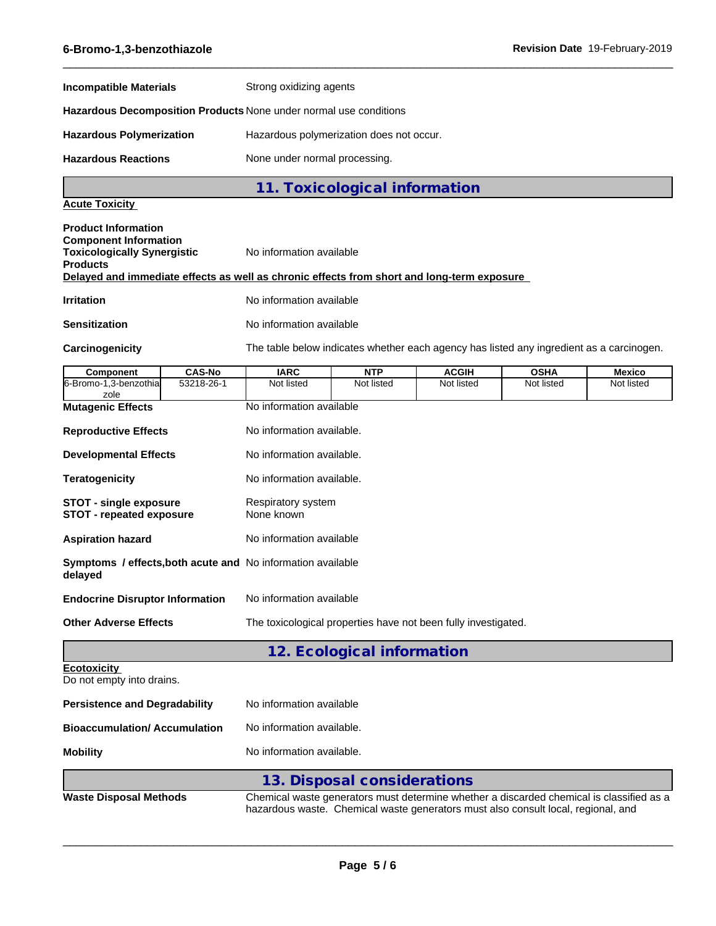| <b>Incompatible Materials</b>                                                                                                                                                                                     | Strong oxidizing agents          |                                                                                          |              |                                                                                   |               |
|-------------------------------------------------------------------------------------------------------------------------------------------------------------------------------------------------------------------|----------------------------------|------------------------------------------------------------------------------------------|--------------|-----------------------------------------------------------------------------------|---------------|
| Hazardous Decomposition Products None under normal use conditions                                                                                                                                                 |                                  |                                                                                          |              |                                                                                   |               |
| <b>Hazardous Polymerization</b>                                                                                                                                                                                   |                                  | Hazardous polymerization does not occur.                                                 |              |                                                                                   |               |
| <b>Hazardous Reactions</b>                                                                                                                                                                                        | None under normal processing.    |                                                                                          |              |                                                                                   |               |
|                                                                                                                                                                                                                   |                                  | 11. Toxicological information                                                            |              |                                                                                   |               |
| <b>Acute Toxicity</b>                                                                                                                                                                                             |                                  |                                                                                          |              |                                                                                   |               |
| <b>Product Information</b><br><b>Component Information</b><br><b>Toxicologically Synergistic</b><br><b>Products</b><br>Delayed and immediate effects as well as chronic effects from short and long-term exposure | No information available         |                                                                                          |              |                                                                                   |               |
| <b>Irritation</b>                                                                                                                                                                                                 | No information available         |                                                                                          |              |                                                                                   |               |
| <b>Sensitization</b>                                                                                                                                                                                              | No information available         |                                                                                          |              |                                                                                   |               |
| Carcinogenicity                                                                                                                                                                                                   |                                  | The table below indicates whether each agency has listed any ingredient as a carcinogen. |              |                                                                                   |               |
| <b>CAS-No</b><br>Component                                                                                                                                                                                        | <b>IARC</b>                      | <b>NTP</b>                                                                               | <b>ACGIH</b> | <b>OSHA</b>                                                                       | <b>Mexico</b> |
| 6-Bromo-1,3-benzothia<br>53218-26-1<br>zole                                                                                                                                                                       | Not listed                       | Not listed                                                                               | Not listed   | Not listed                                                                        | Not listed    |
| <b>Mutagenic Effects</b>                                                                                                                                                                                          |                                  | No information available                                                                 |              |                                                                                   |               |
| <b>Reproductive Effects</b>                                                                                                                                                                                       | No information available.        |                                                                                          |              |                                                                                   |               |
| <b>Developmental Effects</b>                                                                                                                                                                                      | No information available.        |                                                                                          |              |                                                                                   |               |
| <b>Teratogenicity</b>                                                                                                                                                                                             | No information available.        |                                                                                          |              |                                                                                   |               |
| <b>STOT - single exposure</b><br><b>STOT - repeated exposure</b>                                                                                                                                                  | Respiratory system<br>None known |                                                                                          |              |                                                                                   |               |
| <b>Aspiration hazard</b>                                                                                                                                                                                          | No information available         |                                                                                          |              |                                                                                   |               |
| Symptoms / effects, both acute and No information available<br>delayed                                                                                                                                            |                                  |                                                                                          |              |                                                                                   |               |
| <b>Endocrine Disruptor Information</b>                                                                                                                                                                            | No information available         |                                                                                          |              |                                                                                   |               |
| <b>Other Adverse Effects</b>                                                                                                                                                                                      |                                  | The toxicological properties have not been fully investigated.                           |              |                                                                                   |               |
|                                                                                                                                                                                                                   |                                  | 12. Ecological information                                                               |              |                                                                                   |               |
| <b>Ecotoxicity</b><br>Do not empty into drains.                                                                                                                                                                   |                                  |                                                                                          |              |                                                                                   |               |
| <b>Persistence and Degradability</b>                                                                                                                                                                              | No information available         |                                                                                          |              |                                                                                   |               |
| <b>Bioaccumulation/ Accumulation</b>                                                                                                                                                                              | No information available.        |                                                                                          |              |                                                                                   |               |
| <b>Mobility</b>                                                                                                                                                                                                   | No information available.        |                                                                                          |              |                                                                                   |               |
|                                                                                                                                                                                                                   |                                  | 13. Disposal considerations                                                              |              |                                                                                   |               |
| <b>Waste Disposal Methods</b>                                                                                                                                                                                     |                                  | Chemical waste generators must determine whether a discarded chemical is classified as a |              | hazardous waste. Chemical waste generators must also consult local, regional, and |               |